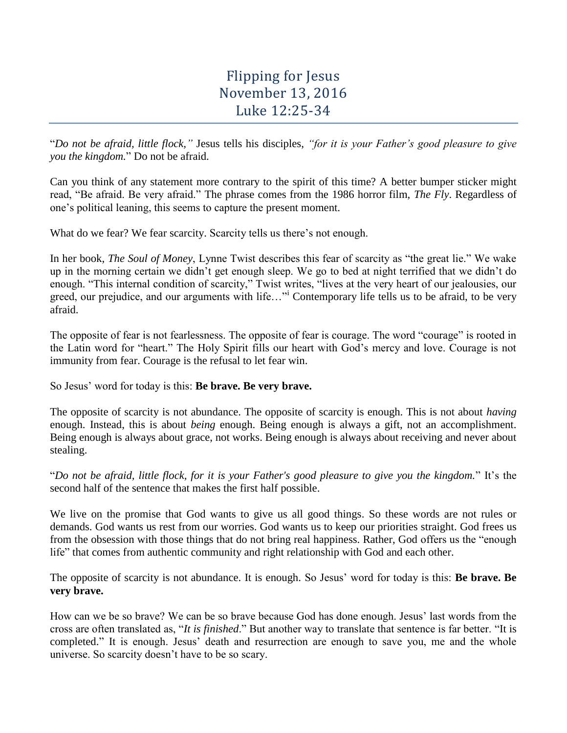# Flipping for Jesus November 13, 2016 Luke 12:25-34

"*Do not be afraid, little flock,"* Jesus tells his disciples, *"for it is your Father's good pleasure to give you the kingdom.*" Do not be afraid.

Can you think of any statement more contrary to the spirit of this time? A better bumper sticker might read, "Be afraid. Be very afraid." The phrase comes from the 1986 horror film, *The Fly*. Regardless of one's political leaning, this seems to capture the present moment.

What do we fear? We fear scarcity. Scarcity tells us there's not enough.

In her book, *The Soul of Money*, Lynne Twist describes this fear of scarcity as "the great lie." We wake up in the morning certain we didn't get enough sleep. We go to bed at night terrified that we didn't do enough. "This internal condition of scarcity," Twist writes, "lives at the very heart of our jealousies, our greed, our prejudice, and our arguments with life..."<sup>i</sup> Contemporary life tells us to be afraid, to be very afraid.

The opposite of fear is not fearlessness. The opposite of fear is courage. The word "courage" is rooted in the Latin word for "heart." The Holy Spirit fills our heart with God's mercy and love. Courage is not immunity from fear. Courage is the refusal to let fear win.

So Jesus' word for today is this: **Be brave. Be very brave.**

The opposite of scarcity is not abundance. The opposite of scarcity is enough. This is not about *having* enough. Instead, this is about *being* enough. Being enough is always a gift, not an accomplishment. Being enough is always about grace, not works. Being enough is always about receiving and never about stealing.

"*Do not be afraid, little flock, for it is your Father's good pleasure to give you the kingdom.*" It's the second half of the sentence that makes the first half possible.

We live on the promise that God wants to give us all good things. So these words are not rules or demands. God wants us rest from our worries. God wants us to keep our priorities straight. God frees us from the obsession with those things that do not bring real happiness. Rather, God offers us the "enough life" that comes from authentic community and right relationship with God and each other.

The opposite of scarcity is not abundance. It is enough. So Jesus' word for today is this: **Be brave. Be very brave.**

How can we be so brave? We can be so brave because God has done enough. Jesus' last words from the cross are often translated as, "*It is finished*." But another way to translate that sentence is far better. "It is completed." It is enough. Jesus' death and resurrection are enough to save you, me and the whole universe. So scarcity doesn't have to be so scary.